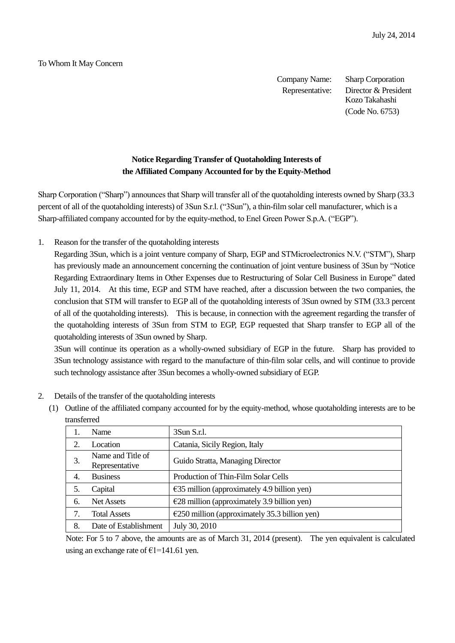## To Whom It May Concern

Company Name: Sharp Corporation Representative: Director & President Kozo Takahashi (Code No. 6753)

## **Notice Regarding Transfer of Quotaholding Interests of the Affiliated Company Accounted for by the Equity-Method**

Sharp Corporation ("Sharp") announces that Sharp will transfer all of the quotaholding interests owned by Sharp (33.3 percent of all of the quotaholding interests) of 3Sun S.r.l. ("3Sun"), a thin-film solar cell manufacturer, which is a Sharp-affiliated company accounted for by the equity-method, to Enel Green Power S.p.A. ("EGP").

1. Reason for the transfer of the quotaholding interests

Regarding 3Sun, which is a joint venture company of Sharp, EGP and STMicroelectronics N.V. ("STM"), Sharp has previously made an announcement concerning the continuation of joint venture business of 3Sun by "Notice Regarding Extraordinary Items in Other Expenses due to Restructuring of Solar Cell Business in Europe" dated July 11, 2014. At this time, EGP and STM have reached, after a discussion between the two companies, the conclusion that STM will transfer to EGP all of the quotaholding interests of 3Sun owned by STM (33.3 percent of all of the quotaholding interests). This is because, in connection with the agreement regarding the transfer of the quotaholding interests of 3Sun from STM to EGP, EGP requested that Sharp transfer to EGP all of the quotaholding interests of 3Sun owned by Sharp.

3Sun will continue its operation as a wholly-owned subsidiary of EGP in the future. Sharp has provided to 3Sun technology assistance with regard to the manufacture of thin-film solar cells, and will continue to provide such technology assistance after 3Sun becomes a wholly-owned subsidiary of EGP.

(1) Outline of the affiliated company accounted for by the equity-method, whose quotaholding interests are to be

|    | ualisielleu                         |                                                         |  |  |  |
|----|-------------------------------------|---------------------------------------------------------|--|--|--|
|    | Name                                | 3Sun S.r.l.                                             |  |  |  |
|    | Location                            | Catania, Sicily Region, Italy                           |  |  |  |
| 3. | Name and Title of<br>Representative | Guido Stratta, Managing Director                        |  |  |  |
| 4. | <b>Business</b>                     | Production of Thin-Film Solar Cells                     |  |  |  |
|    | Capital                             | $\epsilon$ 35 million (approximately 4.9 billion yen)   |  |  |  |
| 6. | Net Assets                          | $E28$ million (approximately 3.9 billion yen)           |  |  |  |
|    | <b>Total Assets</b>                 | $\epsilon$ 250 million (approximately 35.3 billion yen) |  |  |  |
| 8. | Date of Establishment               | July 30, 2010                                           |  |  |  |
|    |                                     |                                                         |  |  |  |

| 2. |  | Details of the transfer of the quotaholding interests |  |
|----|--|-------------------------------------------------------|--|
|    |  |                                                       |  |

transferred

Note: For 5 to 7 above, the amounts are as of March 31, 2014 (present). The yen equivalent is calculated using an exchange rate of  $E1=141.61$  yen.